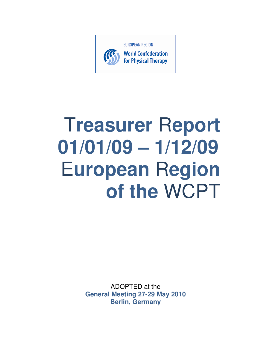

# **Treasurer Report**  $01/01/09 - 1/12/09$ **European Region** of the WCPT

ADOPTED at the **General Meeting 27-29 May 2010 Berlin, Germany**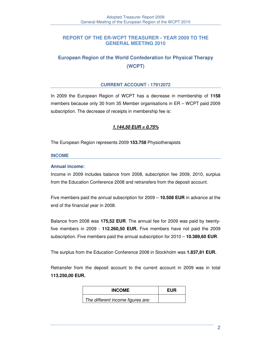# **REPORT OF THE ER-WCPT TREASURER - YEAR 2009 TO THE GENERAL MEETING 2010**

# **European Region of the World Confederation for Physical Therapy (WCPT)**

#### **CURRENT ACCOUNT - 17912072**

In 2009 the European Region of WCPT has a decrease in membership of **1158** members because only 30 from 35 Member organisations in ER – WCPT paid 2009 subscription. The decrease of receipts in membership fee is:

# **1.144,50 EUR = 0,75%**

The European Region represents 2009 **153.758** Physiotherapists

#### **INCOME**

#### **Annual income:**

Income in 2009 includes balance from 2008, subscription fee 2009, 2010, surplus from the Education Conference 2008 and retransfers from the deposit account.

Five members paid the annual subscription for 2009 – **10.508 EUR** in advance at the end of the financial year in 2008.

Balance from 2008 was **175,52 EUR**. The annual fee for 2009 was paid by twentyfive members in 2009 - **112.260,50 EUR.** Five members have not paid the 2009 subscription. Five members paid the annual subscription for 2010 – **10.389,60 EUR**.

The surplus from the Education Conference 2008 in Stockholm was **1.837,81 EUR.** 

Retransfer from the deposit account to the current account in 2009 was in total **113.250,00 EUR.** 

| <b>INCOME</b>                     | <b>EUR</b> |
|-----------------------------------|------------|
| The different income figures are: |            |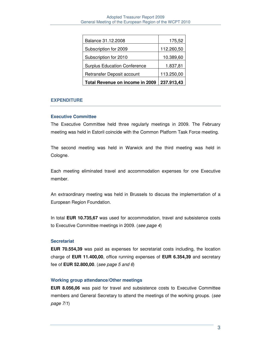| Balance 31.12.2008                  | 175,52     |
|-------------------------------------|------------|
| Subscription for 2009               | 112.260,50 |
| Subscription for 2010               | 10.389,60  |
| <b>Surplus Education Conference</b> | 1.837,81   |
| Retransfer Deposit account          | 113.250,00 |
| Total Revenue on income in 2009     | 237.913,43 |

#### **EXPENDITURE**

#### **Executive Committee**

The Executive Committee held three regularly meetings in 2009. The February meeting was held in Estoril coincide with the Common Platform Task Force meeting.

The second meeting was held in Warwick and the third meeting was held in Cologne.

Each meeting eliminated travel and accommodation expenses for one Executive member.

An extraordinary meeting was held in Brussels to discuss the implementation of a European Region Foundation.

In total **EUR 10.735,67** was used for accommodation, travel and subsistence costs to Executive Committee meetings in 2009. (see page 4)

#### **Secretariat**

**EUR 70.554,39** was paid as expenses for secretariat costs including, the location charge of **EUR 11.400,00**, office running expenses of **EUR 6.354,39** and secretary fee of **EUR 52.800,00**. (see page 5 and 6)

#### **Working group attendance/Other meetings**

**EUR 8.056,06** was paid for travel and subsistence costs to Executive Committee members and General Secretary to attend the meetings of the working groups. (see page 7/1)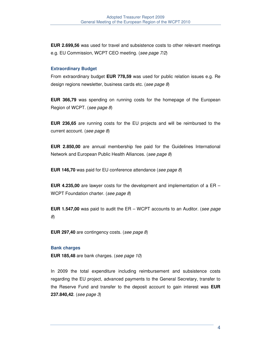**EUR 2.699,56** was used for travel and subsistence costs to other relevant meetings e.g. EU Commission, WCPT CEO meeting. (see page 7/2)

#### **Extraordinary Budget**

From extraordinary budget **EUR 778,59** was used for public relation issues e.g. Re design regions newsletter, business cards etc. (see page 8)

**EUR 366,79** was spending on running costs for the homepage of the European Region of WCPT. (see page 8)

**EUR 236,65** are running costs for the EU projects and will be reimbursed to the current account. (see page 8)

**EUR 2.850,00** are annual membership fee paid for the Guidelines International Network and European Public Health Alliances. (see page 8)

**EUR 146,70** was paid for EU conference attendance (see page 8)

**EUR 4.235,00** are lawyer costs for the development and implementation of a ER – WCPT Foundation charter. (see page 8)

**EUR 1.547,00** was paid to audit the ER – WCPT accounts to an Auditor. (see page 8)

**EUR 297,40** are contingency costs. (see page 8)

#### **Bank charges**

**EUR 185,48** are bank charges. (see page 10)

In 2009 the total expenditure including reimbursement and subsistence costs regarding the EU project, advanced payments to the General Secretary, transfer to the Reserve Fund and transfer to the deposit account to gain interest was **EUR 237.840,42**. (see page 3)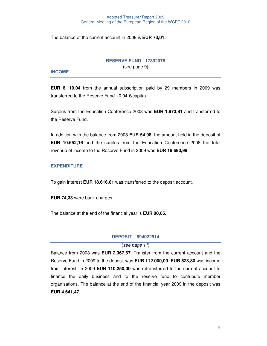The balance of the current account in 2009 is **EUR 73,01.** 

#### **RESERVE FUND - 17892076**

(see page 9)

# **INCOME**

**EUR 6.110,04** from the annual subscription paid by 29 members in 2009 was transferred to the Reserve Fund. (0,04 €/capita)

Surplus from the Education Conference 2008 was **EUR 1.873,81** and transferred to the Reserve Fund.

In addition with the balance from 2008 **EUR 54,98,** the amount held in the deposit of **EUR 10.652,16** and the surplus from the Education Conference 2008 the total revenue of income to the Reserve Fund in 2009 was **EUR 18.690,99**

# **EXPENDITURE**

To gain interest **EUR 18.616,01** was transferred to the deposit account.

**EUR 74,33** were bank charges.

The balance at the end of the financial year is **EUR 00,65.**

# **DEPOSIT – 694022914**

# (see page 11)

Balance from 2008 was **EUR 2.367,67.** Transfer from the current account and the Reserve Fund in 2009 to the deposit was **EUR 112.000,00**. **EUR 523,80** was income from interest. In 2009 **EUR 110.250,00** was retransferred to the current account to finance the daily business and to the reserve fund to contribute member organisations. The balance at the end of the financial year 2009 in the deposit was **EUR 4.641,47.**